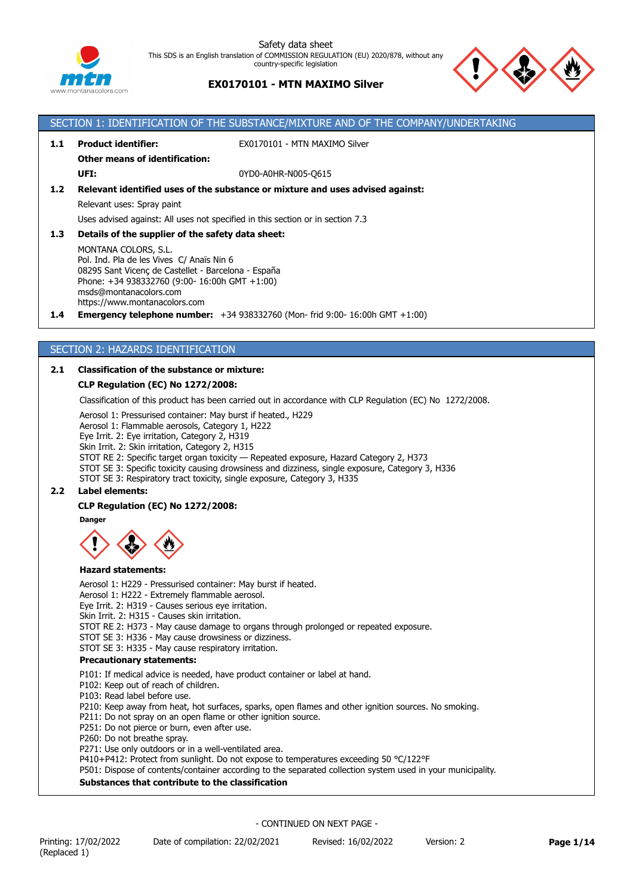

# **EX0170101 - MTN MAXIMO Silver**



# SECTION 1: IDENTIFICATION OF THE SUBSTANCE/MIXTURE AND OF THE COMPANY/UNDERTAKING **1.1 Product identifier:** EX0170101 - MTN MAXIMO Silver **Other means of identification: UFI:** 0YD0-A0HR-N005-O615 **1.2 Relevant identified uses of the substance or mixture and uses advised against:** Relevant uses: Spray paint Uses advised against: All uses not specified in this section or in section 7.3 **1.3 Details of the supplier of the safety data sheet:** MONTANA COLORS, S.L. Pol. Ind. Pla de les Vives C/ Anaïs Nin 6 08295 Sant Vicenç de Castellet - Barcelona - España Phone: +34 938332760 (9:00- 16:00h GMT +1:00) msds@montanacolors.com https://www.montanacolors.com **1.4 Emergency telephone number:** +34 938332760 (Mon- frid 9:00- 16:00h GMT +1:00)

## SECTION 2: HAZARDS IDENTIFICATION

## **2.1 Classification of the substance or mixture:**

## **CLP Regulation (EC) No 1272/2008:**

Classification of this product has been carried out in accordance with CLP Regulation (EC) No 1272/2008.

Aerosol 1: Pressurised container: May burst if heated., H229

Aerosol 1: Flammable aerosols, Category 1, H222

Eye Irrit. 2: Eye irritation, Category 2, H319

Skin Irrit. 2: Skin irritation, Category 2, H315

STOT RE 2: Specific target organ toxicity — Repeated exposure, Hazard Category 2, H373

STOT SE 3: Specific toxicity causing drowsiness and dizziness, single exposure, Category 3, H336

STOT SE 3: Respiratory tract toxicity, single exposure, Category 3, H335

## **2.2 Label elements:**

# **CLP Regulation (EC) No 1272/2008:**

**Danger**



#### **Hazard statements:**

Aerosol 1: H229 - Pressurised container: May burst if heated. Aerosol 1: H222 - Extremely flammable aerosol.

Eye Irrit. 2: H319 - Causes serious eye irritation.

Skin Irrit. 2: H315 - Causes skin irritation.

STOT RE 2: H373 - May cause damage to organs through prolonged or repeated exposure.

STOT SE 3: H336 - May cause drowsiness or dizziness.

STOT SE 3: H335 - May cause respiratory irritation.

## **Precautionary statements:**

P101: If medical advice is needed, have product container or label at hand.

P102: Keep out of reach of children.

P103: Read label before use.

P210: Keep away from heat, hot surfaces, sparks, open flames and other ignition sources. No smoking.

P211: Do not spray on an open flame or other ignition source.

P251: Do not pierce or burn, even after use.

P260: Do not breathe spray.

P271: Use only outdoors or in a well-ventilated area.

P410+P412: Protect from sunlight. Do not expose to temperatures exceeding 50 °C/122°F

P501: Dispose of contents/container according to the separated collection system used in your municipality.

## **Substances that contribute to the classification**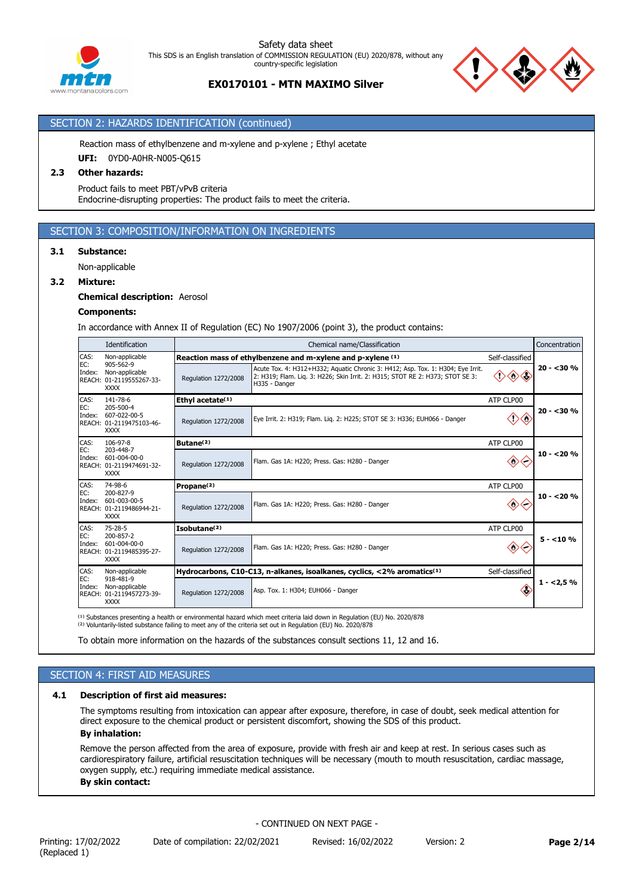

## **EX0170101 - MTN MAXIMO Silver**

## SECTION 2: HAZARDS IDENTIFICATION (continued)

Reaction mass of ethylbenzene and m-xylene and p-xylene ; Ethyl acetate

**UFI:** 0YD0-A0HR-N005-Q615

## **2.3 Other hazards:**

Product fails to meet PBT/vPvB criteria Endocrine-disrupting properties: The product fails to meet the criteria.

# SECTION 3: COMPOSITION/INFORMATION ON INGREDIENTS

## **3.1 Substance:**

Non-applicable

#### **3.2 Mixture:**

**Chemical description:** Aerosol

#### **Components:**

In accordance with Annex II of Regulation (EC) No 1907/2006 (point 3), the product contains:

|                                | Identification                                                                                      |                                                                                | Chemical name/Classification                                                                                                                                                      |                         |              |  |
|--------------------------------|-----------------------------------------------------------------------------------------------------|--------------------------------------------------------------------------------|-----------------------------------------------------------------------------------------------------------------------------------------------------------------------------------|-------------------------|--------------|--|
| CAS:                           | Non-applicable                                                                                      | Reaction mass of ethylbenzene and m-xylene and p-xylene (1)<br>Self-classified |                                                                                                                                                                                   |                         |              |  |
| EC:<br>Index:                  | 905-562-9<br>Non-applicable<br>REACH: 01-2119555267-33-<br><b>XXXX</b>                              | Regulation 1272/2008                                                           | Acute Tox. 4: H312+H332; Aquatic Chronic 3: H412; Asp. Tox. 1: H304; Eye Irrit.<br>2: H319; Flam. Lig. 3: H226; Skin Irrit. 2: H315; STOT RE 2: H373; STOT SE 3:<br>H335 - Danger | $\Leftrightarrow$       | $20 - 30 \%$ |  |
| CAS:                           | 141-78-6                                                                                            | Ethyl acetate <sup>(1)</sup>                                                   |                                                                                                                                                                                   | ATP CLP00               |              |  |
| EC:<br>Index:                  | 205-500-4<br>607-022-00-5<br>REACH: 01-2119475103-46-<br><b>XXXX</b>                                | Regulation 1272/2008                                                           | Eye Irrit. 2: H319; Flam. Lig. 2: H225; STOT SE 3: H336; EUH066 - Danger                                                                                                          | ⊲<br>0                  | $20 - 30%$   |  |
| CAS:                           | 106-97-8                                                                                            | Butane <sup>(2)</sup>                                                          |                                                                                                                                                                                   | ATP CLP00               |              |  |
| EC:<br>Index:                  | 203-448-7<br>601-004-00-0<br>REACH: 01-2119474691-32-<br><b>XXXX</b>                                | <b>Regulation 1272/2008</b>                                                    | Flam. Gas 1A: H220; Press. Gas: H280 - Danger                                                                                                                                     | $\langle \circ \rangle$ | $10 - 20%$   |  |
| CAS:                           | 74-98-6                                                                                             | Propane <sup>(2)</sup>                                                         |                                                                                                                                                                                   | ATP CLP00               |              |  |
| Index:                         | EC:<br>200-827-9<br>601-003-00-5<br>Regulation 1272/2008<br>REACH: 01-2119486944-21-<br><b>XXXX</b> |                                                                                | Flam. Gas 1A: H220; Press. Gas: H280 - Danger                                                                                                                                     | ◇                       | $10 - 20%$   |  |
| CAS:                           | $75 - 28 - 5$                                                                                       | Isobutane <sup>(2)</sup>                                                       |                                                                                                                                                                                   | ATP CLP00               |              |  |
| EC:<br>Index:                  | 200-857-2<br>$601 - 004 - 00 - 0$<br>REACH: 01-2119485395-27-<br><b>XXXX</b>                        | Regulation 1272/2008                                                           | Flam. Gas 1A: H220; Press. Gas: H280 - Danger                                                                                                                                     | ⇔                       | $5 - 10%$    |  |
| CAS:                           | Non-applicable                                                                                      |                                                                                | Hydrocarbons, C10-C13, n-alkanes, isoalkanes, cyclics, <2% aromatics <sup>(1)</sup>                                                                                               | Self-classified         |              |  |
| EC:<br>Index:<br><b>REACH:</b> | 918-481-9<br>Non-applicable<br>01-2119457273-39-<br><b>XXXX</b>                                     | Regulation 1272/2008                                                           | Asp. Tox. 1: H304; EUH066 - Danger                                                                                                                                                | ≪                       | $1 - 2.5%$   |  |

<sup>(1)</sup> Substances presenting a health or environmental hazard which meet criteria laid down in Regulation (EU) No. 2020/878<br><sup>(2)</sup> Voluntarily-listed substance failing to meet any of the criteria set out in Regulation (EU) N

To obtain more information on the hazards of the substances consult sections 11, 12 and 16.

# SECTION 4: FIRST AID MEASURES

## **4.1 Description of first aid measures:**

The symptoms resulting from intoxication can appear after exposure, therefore, in case of doubt, seek medical attention for direct exposure to the chemical product or persistent discomfort, showing the SDS of this product. **By inhalation:**

Remove the person affected from the area of exposure, provide with fresh air and keep at rest. In serious cases such as cardiorespiratory failure, artificial resuscitation techniques will be necessary (mouth to mouth resuscitation, cardiac massage, oxygen supply, etc.) requiring immediate medical assistance. **By skin contact:**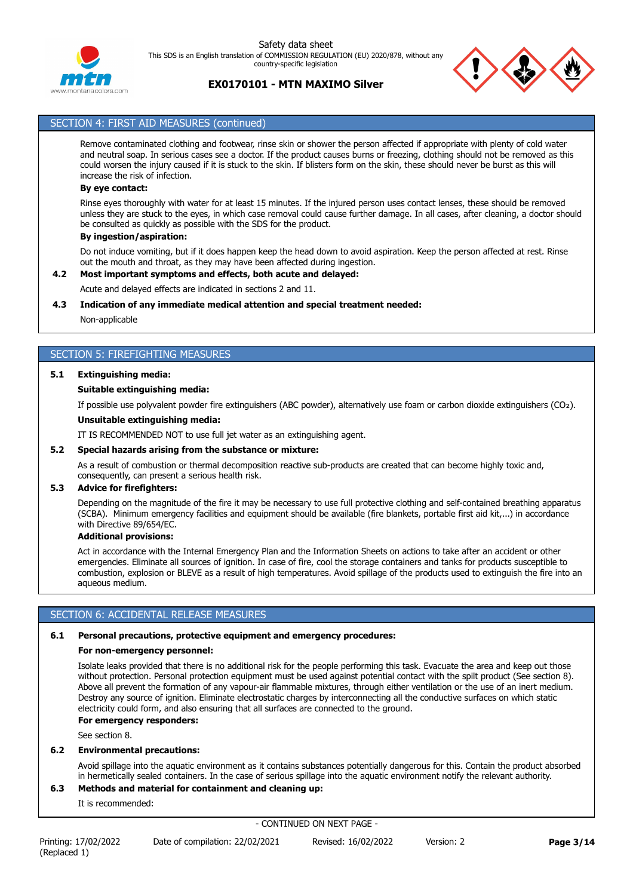

# **EX0170101 - MTN MAXIMO Silver**



## SECTION 4: FIRST AID MEASURES (continued)

Remove contaminated clothing and footwear, rinse skin or shower the person affected if appropriate with plenty of cold water and neutral soap. In serious cases see a doctor. If the product causes burns or freezing, clothing should not be removed as this could worsen the injury caused if it is stuck to the skin. If blisters form on the skin, these should never be burst as this will increase the risk of infection.

#### **By eye contact:**

Rinse eyes thoroughly with water for at least 15 minutes. If the injured person uses contact lenses, these should be removed unless they are stuck to the eyes, in which case removal could cause further damage. In all cases, after cleaning, a doctor should be consulted as quickly as possible with the SDS for the product.

#### **By ingestion/aspiration:**

Do not induce vomiting, but if it does happen keep the head down to avoid aspiration. Keep the person affected at rest. Rinse out the mouth and throat, as they may have been affected during ingestion.

#### **4.2 Most important symptoms and effects, both acute and delayed:**

Acute and delayed effects are indicated in sections 2 and 11.

#### **4.3 Indication of any immediate medical attention and special treatment needed:**

Non-applicable

## SECTION 5: FIREFIGHTING MEASURES

#### **5.1 Extinguishing media:**

#### **Suitable extinguishing media:**

If possible use polyvalent powder fire extinguishers (ABC powder), alternatively use foam or carbon dioxide extinguishers (CO₂).

#### **Unsuitable extinguishing media:**

IT IS RECOMMENDED NOT to use full jet water as an extinguishing agent.

#### **5.2 Special hazards arising from the substance or mixture:**

As a result of combustion or thermal decomposition reactive sub-products are created that can become highly toxic and, consequently, can present a serious health risk.

#### **5.3 Advice for firefighters:**

Depending on the magnitude of the fire it may be necessary to use full protective clothing and self-contained breathing apparatus (SCBA). Minimum emergency facilities and equipment should be available (fire blankets, portable first aid kit,...) in accordance with Directive 89/654/EC.

# **Additional provisions:**

Act in accordance with the Internal Emergency Plan and the Information Sheets on actions to take after an accident or other emergencies. Eliminate all sources of ignition. In case of fire, cool the storage containers and tanks for products susceptible to combustion, explosion or BLEVE as a result of high temperatures. Avoid spillage of the products used to extinguish the fire into an aqueous medium.

## SECTION 6: ACCIDENTAL RELEASE MEASURES

#### **6.1 Personal precautions, protective equipment and emergency procedures:**

#### **For non-emergency personnel:**

Isolate leaks provided that there is no additional risk for the people performing this task. Evacuate the area and keep out those without protection. Personal protection equipment must be used against potential contact with the spilt product (See section 8). Above all prevent the formation of any vapour-air flammable mixtures, through either ventilation or the use of an inert medium. Destroy any source of ignition. Eliminate electrostatic charges by interconnecting all the conductive surfaces on which static electricity could form, and also ensuring that all surfaces are connected to the ground.

#### **For emergency responders:**

See section 8.

## **6.2 Environmental precautions:**

Avoid spillage into the aquatic environment as it contains substances potentially dangerous for this. Contain the product absorbed in hermetically sealed containers. In the case of serious spillage into the aquatic environment notify the relevant authority.

## **6.3 Methods and material for containment and cleaning up:**

It is recommended: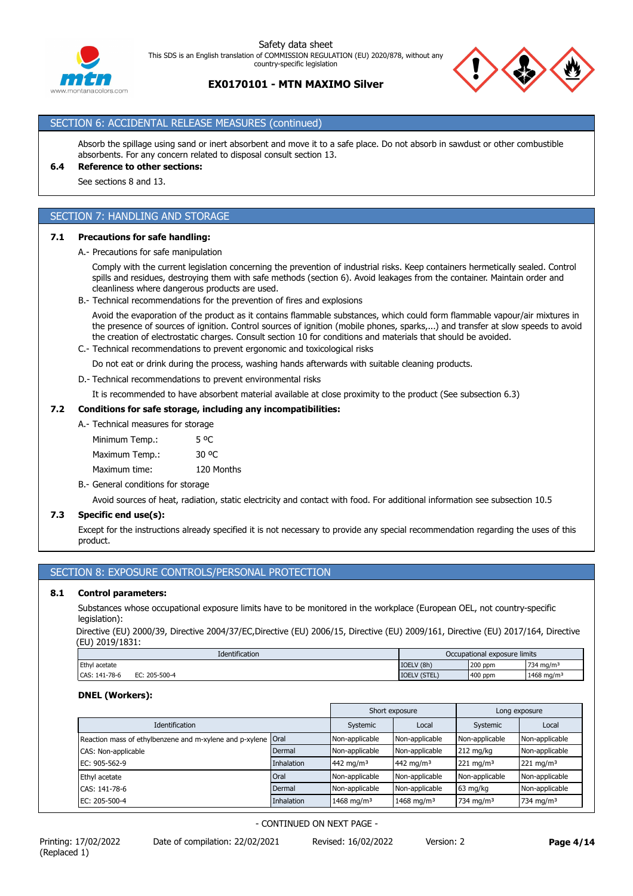



## SECTION 6: ACCIDENTAL RELEASE MEASURES (continued)

Absorb the spillage using sand or inert absorbent and move it to a safe place. Do not absorb in sawdust or other combustible absorbents. For any concern related to disposal consult section 13.

# **6.4 Reference to other sections:**

See sections 8 and 13.

# SECTION 7: HANDLING AND STORAGE

#### **7.1 Precautions for safe handling:**

A.- Precautions for safe manipulation

Comply with the current legislation concerning the prevention of industrial risks. Keep containers hermetically sealed. Control spills and residues, destroying them with safe methods (section 6). Avoid leakages from the container. Maintain order and cleanliness where dangerous products are used.

B.- Technical recommendations for the prevention of fires and explosions

Avoid the evaporation of the product as it contains flammable substances, which could form flammable vapour/air mixtures in the presence of sources of ignition. Control sources of ignition (mobile phones, sparks,...) and transfer at slow speeds to avoid the creation of electrostatic charges. Consult section 10 for conditions and materials that should be avoided.

C.- Technical recommendations to prevent ergonomic and toxicological risks

Do not eat or drink during the process, washing hands afterwards with suitable cleaning products.

D.- Technical recommendations to prevent environmental risks

It is recommended to have absorbent material available at close proximity to the product (See subsection 6.3)

#### **7.2 Conditions for safe storage, including any incompatibilities:**

| A. Technical measures for storage |            |
|-----------------------------------|------------|
| Minimum Temp.:                    | 5 °C       |
| Maximum Temp.:                    | 30 OC      |
| Maximum time:                     | 120 Months |
|                                   |            |

B.- General conditions for storage

Avoid sources of heat, radiation, static electricity and contact with food. For additional information see subsection 10.5

## **7.3 Specific end use(s):**

Except for the instructions already specified it is not necessary to provide any special recommendation regarding the uses of this product.

## SECTION 8: EXPOSURE CONTROLS/PERSONAL PROTECTION

#### **8.1 Control parameters:**

Substances whose occupational exposure limits have to be monitored in the workplace (European OEL, not country-specific legislation):

Directive (EU) 2000/39, Directive 2004/37/EC,Directive (EU) 2006/15, Directive (EU) 2009/161, Directive (EU) 2017/164, Directive (EU) 2019/1831:

| <b>Identification</b>             | Occupational exposure limits |         |                        |
|-----------------------------------|------------------------------|---------|------------------------|
| Ethyl acetate                     | IOELV (8h)                   | 200 ppm | $734 \text{ ma/m}$     |
| 205-500-4<br>CAS: 141-78-6<br>Е۲. | <b>IOELV (STEL)</b>          | 400 ppm | 1468 mg/m <sup>3</sup> |

#### **DNEL (Workers):**

|                                                              |                   | Short exposure         | Long exposure          |                       |                         |
|--------------------------------------------------------------|-------------------|------------------------|------------------------|-----------------------|-------------------------|
| <b>Identification</b>                                        |                   | Systemic               | Local                  | Systemic              | Local                   |
| Reaction mass of ethylbenzene and m-xylene and p-xylene Oral |                   | Non-applicable         | Non-applicable         | Non-applicable        | Non-applicable          |
| CAS: Non-applicable                                          | Dermal            | Non-applicable         | Non-applicable         | $212 \text{ mg/kg}$   | Non-applicable          |
| EC: 905-562-9                                                | <b>Inhalation</b> | 442 mg/m <sup>3</sup>  | 442 mg/m <sup>3</sup>  | $221 \text{ mg/m}^3$  | $221 \,\mathrm{mg/m^3}$ |
| Ethyl acetate                                                | Oral              | Non-applicable         | Non-applicable         | Non-applicable        | Non-applicable          |
| CAS: 141-78-6                                                | Dermal            | Non-applicable         | Non-applicable         | 63 mg/kg              | Non-applicable          |
| EC: 205-500-4                                                | <b>Inhalation</b> | 1468 mg/m <sup>3</sup> | 1468 mg/m <sup>3</sup> | 734 mg/m <sup>3</sup> | 734 mg/m $3$            |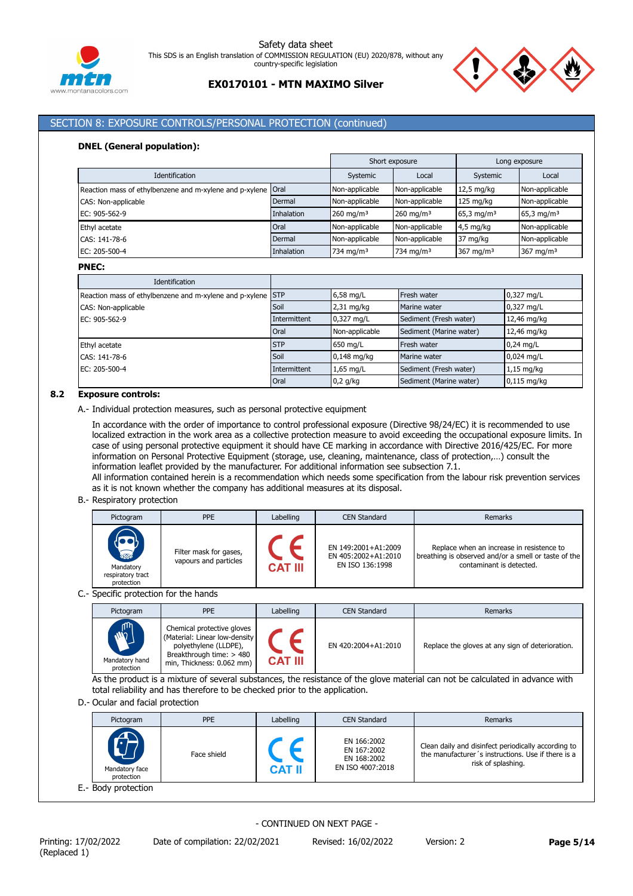



## SECTION 8: EXPOSURE CONTROLS/PERSONAL PROTECTION (continued)

#### **DNEL (General population):**

|                                                         |             | Short exposure<br>Long exposure |                       |                        |                          |
|---------------------------------------------------------|-------------|---------------------------------|-----------------------|------------------------|--------------------------|
| Identification                                          | Systemic    | Local                           | Systemic              | Local                  |                          |
| Reaction mass of ethylbenzene and m-xylene and p-xylene | <b>Oral</b> | Non-applicable                  | Non-applicable        | $12,5$ mg/kg           | Non-applicable           |
| CAS: Non-applicable                                     | Dermal      | Non-applicable                  | Non-applicable        | $125$ mg/kg            | Non-applicable           |
| EC: 905-562-9                                           | Inhalation  | $260$ mg/m <sup>3</sup>         | $260 \text{ mg/m}^3$  | 65,3 mg/m <sup>3</sup> | $65,3$ mg/m <sup>3</sup> |
| Ethyl acetate                                           | Oral        | Non-applicable                  | Non-applicable        | $4,5$ mg/kg            | Non-applicable           |
| CAS: 141-78-6                                           | Dermal      | Non-applicable                  | Non-applicable        | 37 mg/kg               | Non-applicable           |
| EC: 205-500-4                                           | Inhalation  | 734 mg/m <sup>3</sup>           | 734 mg/m <sup>3</sup> | 367 mg/m $3$           | 367 mg/m $3$             |

**PNEC:**

| Identification                                              |              |                |                         |               |
|-------------------------------------------------------------|--------------|----------------|-------------------------|---------------|
| Reaction mass of ethylbenzene and m-xylene and p-xylene STP |              | $6,58$ mg/L    | Fresh water             | 0,327 mg/L    |
| CAS: Non-applicable                                         | Soil         | $2,31$ mg/kg   | Marine water            | 0,327 mg/L    |
| EC: 905-562-9                                               | Intermittent | 0,327 mg/L     | Sediment (Fresh water)  | 12,46 mg/kg   |
|                                                             | Oral         | Non-applicable | Sediment (Marine water) | 12,46 mg/kg   |
| Ethyl acetate                                               | <b>STP</b>   | 650 mg/L       | Fresh water             | $0,24$ mg/L   |
| CAS: 141-78-6                                               | Soil         | $0,148$ mg/kg  | Marine water            | 0,024 mg/L    |
| EC: 205-500-4                                               | Intermittent | $1,65$ mg/L    | Sediment (Fresh water)  | $1,15$ mg/kg  |
|                                                             | Oral         | $0,2$ g/kg     | Sediment (Marine water) | $0.115$ mg/kg |

#### **8.2 Exposure controls:**

A.- Individual protection measures, such as personal protective equipment

In accordance with the order of importance to control professional exposure (Directive 98/24/EC) it is recommended to use localized extraction in the work area as a collective protection measure to avoid exceeding the occupational exposure limits. In case of using personal protective equipment it should have CE marking in accordance with Directive 2016/425/EC. For more information on Personal Protective Equipment (storage, use, cleaning, maintenance, class of protection,…) consult the information leaflet provided by the manufacturer. For additional information see subsection 7.1. All information contained herein is a recommendation which needs some specification from the labour risk prevention services

as it is not known whether the company has additional measures at its disposal.

#### B.- Respiratory protection

| Pictogram                                                               | <b>PPE</b>                                      | Labelling      | <b>CEN Standard</b>                                           | Remarks                                                                                                                       |
|-------------------------------------------------------------------------|-------------------------------------------------|----------------|---------------------------------------------------------------|-------------------------------------------------------------------------------------------------------------------------------|
| $\overline{\mathbf{a}}$<br>Mandatory<br>respiratory tract<br>protection | Filter mask for gases,<br>vapours and particles | <b>CAT III</b> | EN 149:2001+A1:2009<br>EN 405:2002+A1:2010<br>EN ISO 136:1998 | Replace when an increase in resistence to<br>breathing is observed and/or a smell or taste of the<br>contaminant is detected. |

## C.- Specific protection for the hands

| Pictogram                                  | <b>PPE</b>                                                                                                                                    | Labelling      | <b>CEN Standard</b> | Remarks                                          |
|--------------------------------------------|-----------------------------------------------------------------------------------------------------------------------------------------------|----------------|---------------------|--------------------------------------------------|
| <b>MAR</b><br>Mandatory hand<br>protection | Chemical protective gloves<br>(Material: Linear low-density<br>polyethylene (LLDPE),<br>Breakthrough time: > 480<br>min, Thickness: 0.062 mm) | <b>CAT III</b> | EN 420:2004+A1:2010 | Replace the gloves at any sign of deterioration. |

As the product is a mixture of several substances, the resistance of the glove material can not be calculated in advance with total reliability and has therefore to be checked prior to the application.

#### D.- Ocular and facial protection

| Pictogram                                   | <b>PPE</b>  | Labelling     | <b>CEN Standard</b>                                           | Remarks                                                                                                                         |
|---------------------------------------------|-------------|---------------|---------------------------------------------------------------|---------------------------------------------------------------------------------------------------------------------------------|
| $\bigoplus$<br>Mandatory face<br>protection | Face shield | <b>CAT II</b> | EN 166:2002<br>EN 167:2002<br>EN 168:2002<br>EN ISO 4007:2018 | Clean daily and disinfect periodically according to<br>the manufacturer's instructions. Use if there is a<br>risk of splashing. |
| E.- Body protection                         |             |               |                                                               |                                                                                                                                 |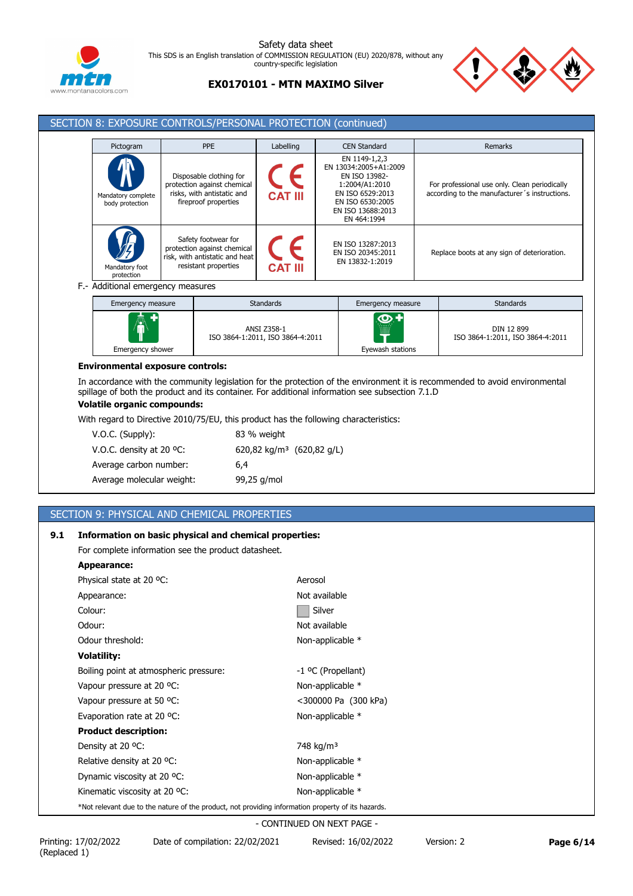



# **EX0170101 - MTN MAXIMO Silver**

| Pictogram                             | <b>PPE</b>                                                                                                   | Labelling      | <b>CEN Standard</b>                                                                                                                                   | Remarks                                                                                        |
|---------------------------------------|--------------------------------------------------------------------------------------------------------------|----------------|-------------------------------------------------------------------------------------------------------------------------------------------------------|------------------------------------------------------------------------------------------------|
| Mandatory complete<br>body protection | Disposable clothing for<br>protection against chemical<br>risks, with antistatic and<br>fireproof properties | <b>CAT III</b> | EN 1149-1,2,3<br>EN 13034:2005+A1:2009<br>EN ISO 13982-<br>1:2004/A1:2010<br>EN ISO 6529:2013<br>EN ISO 6530:2005<br>EN ISO 13688:2013<br>EN 464:1994 | For professional use only. Clean periodically<br>according to the manufacturer's instructions. |
| Mandatory foot<br>protection          | Safety footwear for<br>protection against chemical<br>risk, with antistatic and heat<br>resistant properties | <b>CAT III</b> | EN ISO 13287:2013<br>EN ISO 20345:2011<br>EN 13832-1:2019                                                                                             | Replace boots at any sign of deterioration.                                                    |

F.- Additional emergency measures

| Emergency measure | <b>Standards</b>                                       | Emergency measure                 | <b>Standards</b>                               |
|-------------------|--------------------------------------------------------|-----------------------------------|------------------------------------------------|
| $\spadesuit$      | <b>ANSI Z358-1</b><br>ISO 3864-1:2011, ISO 3864-4:2011 | $\bullet$<br><br><br><b>WHITE</b> | DIN 12 899<br>ISO 3864-1:2011, ISO 3864-4:2011 |
| Emergency shower  |                                                        | Eyewash stations                  |                                                |

#### **Environmental exposure controls:**

In accordance with the community legislation for the protection of the environment it is recommended to avoid environmental spillage of both the product and its container. For additional information see subsection 7.1.D

# **Volatile organic compounds:**

With regard to Directive 2010/75/EU, this product has the following characteristics:

| $V.O.C.$ (Supply):                 | 83 % weight                           |
|------------------------------------|---------------------------------------|
| V.O.C. density at 20 $^{\circ}$ C: | 620,82 kg/m <sup>3</sup> (620,82 g/L) |
| Average carbon number:             | 6.4                                   |
| Average molecular weight:          | 99,25 g/mol                           |

# SECTION 9: PHYSICAL AND CHEMICAL PROPERTIES

## **9.1 Information on basic physical and chemical properties:**

For complete information see the product datasheet.

| Appearancer                                                                                        |                       |
|----------------------------------------------------------------------------------------------------|-----------------------|
| Physical state at 20 °C:                                                                           | Aerosol               |
| Appearance:                                                                                        | Not available         |
| Colour:                                                                                            | Silver                |
| Odour:                                                                                             | Not available         |
| Odour threshold:                                                                                   | Non-applicable *      |
| <b>Volatility:</b>                                                                                 |                       |
| Boiling point at atmospheric pressure:                                                             | -1 °C (Propellant)    |
| Vapour pressure at 20 °C:                                                                          | Non-applicable *      |
| Vapour pressure at 50 °C:                                                                          | <300000 Pa (300 kPa)  |
| Evaporation rate at 20 °C:                                                                         | Non-applicable *      |
| <b>Product description:</b>                                                                        |                       |
| Density at 20 °C:                                                                                  | 748 kg/m <sup>3</sup> |
| Relative density at 20 °C:                                                                         | Non-applicable *      |
| Dynamic viscosity at 20 °C:                                                                        | Non-applicable *      |
| Kinematic viscosity at 20 °C:                                                                      | Non-applicable *      |
| *Not relevant due to the nature of the product, not providing information property of its hazards. |                       |
|                                                                                                    |                       |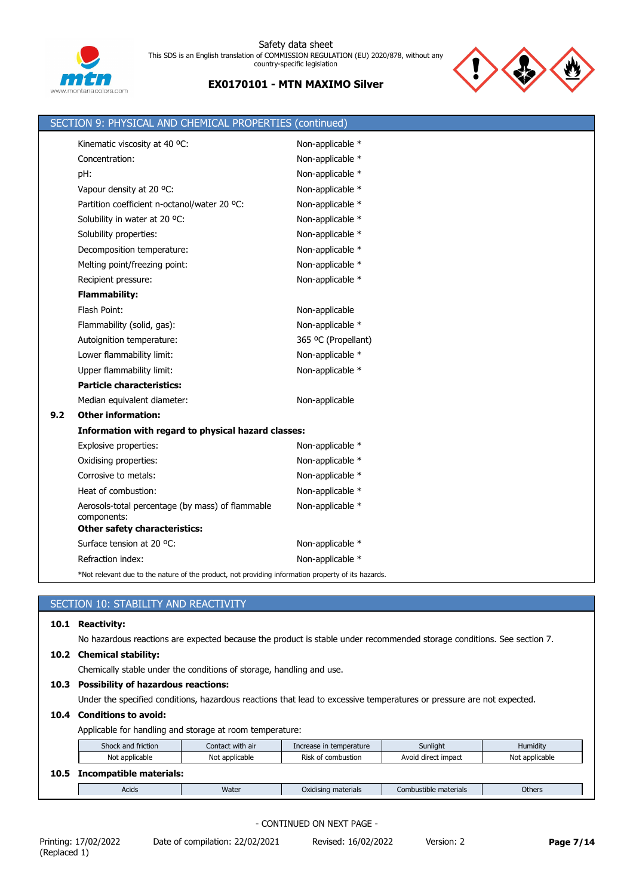

# **EX0170101 - MTN MAXIMO Silver**



|     | SECTION 9: PHYSICAL AND CHEMICAL PROPERTIES (continued)                                            |                     |
|-----|----------------------------------------------------------------------------------------------------|---------------------|
|     | Kinematic viscosity at 40 °C:                                                                      | Non-applicable *    |
|     | Concentration:                                                                                     | Non-applicable *    |
|     | pH:                                                                                                | Non-applicable *    |
|     | Vapour density at 20 °C:                                                                           | Non-applicable *    |
|     | Partition coefficient n-octanol/water 20 °C:                                                       | Non-applicable *    |
|     | Solubility in water at 20 °C:                                                                      | Non-applicable *    |
|     | Solubility properties:                                                                             | Non-applicable *    |
|     | Decomposition temperature:                                                                         | Non-applicable *    |
|     | Melting point/freezing point:                                                                      | Non-applicable *    |
|     | Recipient pressure:                                                                                | Non-applicable *    |
|     | <b>Flammability:</b>                                                                               |                     |
|     | Flash Point:                                                                                       | Non-applicable      |
|     | Flammability (solid, gas):                                                                         | Non-applicable *    |
|     | Autoignition temperature:                                                                          | 365 °C (Propellant) |
|     | Lower flammability limit:                                                                          | Non-applicable *    |
|     | Upper flammability limit:                                                                          | Non-applicable *    |
|     | <b>Particle characteristics:</b>                                                                   |                     |
|     | Median equivalent diameter:                                                                        | Non-applicable      |
| 9.2 | <b>Other information:</b>                                                                          |                     |
|     | Information with regard to physical hazard classes:                                                |                     |
|     | Explosive properties:                                                                              | Non-applicable *    |
|     | Oxidising properties:                                                                              | Non-applicable *    |
|     | Corrosive to metals:                                                                               | Non-applicable *    |
|     | Heat of combustion:                                                                                | Non-applicable *    |
|     | Aerosols-total percentage (by mass) of flammable<br>components:                                    | Non-applicable *    |
|     | <b>Other safety characteristics:</b>                                                               |                     |
|     | Surface tension at 20 °C:                                                                          | Non-applicable *    |
|     | Refraction index:                                                                                  | Non-applicable *    |
|     | *Not relevant due to the nature of the product, not providing information property of its hazards. |                     |

# SECTION 10: STABILITY AND REACTIVITY

## **10.1 Reactivity:**

No hazardous reactions are expected because the product is stable under recommended storage conditions. See section 7.

#### **10.2 Chemical stability:**

Chemically stable under the conditions of storage, handling and use.

# **10.3 Possibility of hazardous reactions:**

Under the specified conditions, hazardous reactions that lead to excessive temperatures or pressure are not expected.

## **10.4 Conditions to avoid:**

Applicable for handling and storage at room temperature:

| Shock and friction |                         | Contact with air<br>Increase in temperature |                     | Sunlight              | Humidity       |
|--------------------|-------------------------|---------------------------------------------|---------------------|-----------------------|----------------|
|                    | Not applicable          | Not applicable                              | Risk of combustion  | Avoid direct impact   | Not applicable |
| 10.5               | Incompatible materials: |                                             |                     |                       |                |
|                    | Acids                   | Water                                       | Oxidising materials | Combustible materials | <b>Others</b>  |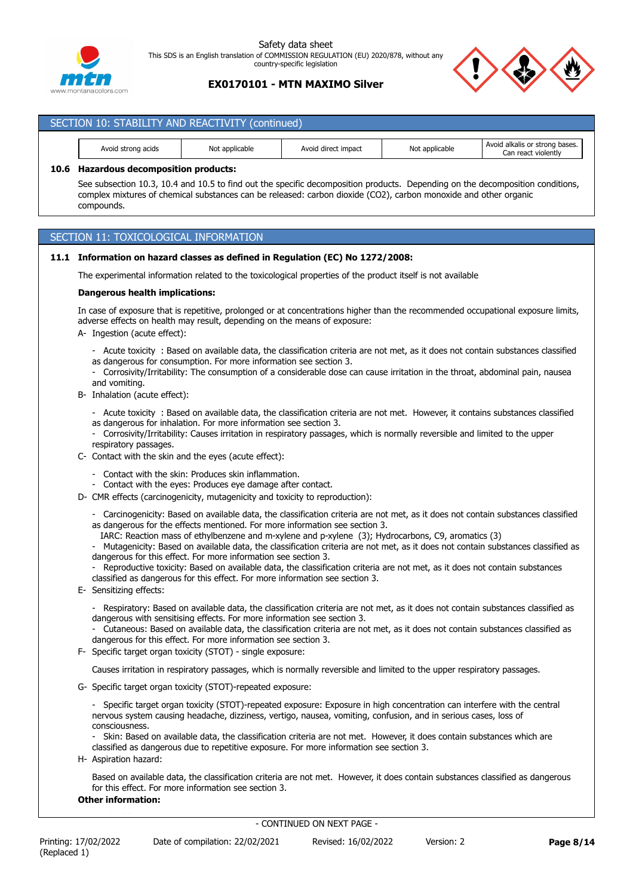

## **EX0170101 - MTN MAXIMO Silver**

| SECTION 10: STABILITY AND REACTIVITY (continued) |                |                     |                |                                                       |  |  |  |  |  |
|--------------------------------------------------|----------------|---------------------|----------------|-------------------------------------------------------|--|--|--|--|--|
| Avoid strong acids                               | Not applicable | Avoid direct impact | Not applicable | Avoid alkalis or strong bases.<br>Can react violently |  |  |  |  |  |

## **10.6 Hazardous decomposition products:**

See subsection 10.3, 10.4 and 10.5 to find out the specific decomposition products. Depending on the decomposition conditions, complex mixtures of chemical substances can be released: carbon dioxide (CO2), carbon monoxide and other organic compounds.

## SECTION 11: TOXICOLOGICAL INFORMATION

## **11.1 Information on hazard classes as defined in Regulation (EC) No 1272/2008:**

The experimental information related to the toxicological properties of the product itself is not available

#### **Dangerous health implications:**

In case of exposure that is repetitive, prolonged or at concentrations higher than the recommended occupational exposure limits, adverse effects on health may result, depending on the means of exposure:

- A- Ingestion (acute effect):
	- Acute toxicity : Based on available data, the classification criteria are not met, as it does not contain substances classified as dangerous for consumption. For more information see section 3.
	- Corrosivity/Irritability: The consumption of a considerable dose can cause irritation in the throat, abdominal pain, nausea and vomiting.
- B- Inhalation (acute effect):

- Acute toxicity : Based on available data, the classification criteria are not met. However, it contains substances classified as dangerous for inhalation. For more information see section 3.

- Corrosivity/Irritability: Causes irritation in respiratory passages, which is normally reversible and limited to the upper respiratory passages.
- C- Contact with the skin and the eyes (acute effect):
	- Contact with the skin: Produces skin inflammation.
	- Contact with the eyes: Produces eye damage after contact.
- D- CMR effects (carcinogenicity, mutagenicity and toxicity to reproduction):
	- Carcinogenicity: Based on available data, the classification criteria are not met, as it does not contain substances classified as dangerous for the effects mentioned. For more information see section 3.
	- IARC: Reaction mass of ethylbenzene and m-xylene and p-xylene (3); Hydrocarbons, C9, aromatics (3)
	- Mutagenicity: Based on available data, the classification criteria are not met, as it does not contain substances classified as dangerous for this effect. For more information see section 3.
	- Reproductive toxicity: Based on available data, the classification criteria are not met, as it does not contain substances classified as dangerous for this effect. For more information see section 3.
- E- Sensitizing effects:
	- Respiratory: Based on available data, the classification criteria are not met, as it does not contain substances classified as dangerous with sensitising effects. For more information see section 3.
	- Cutaneous: Based on available data, the classification criteria are not met, as it does not contain substances classified as dangerous for this effect. For more information see section 3.
- F- Specific target organ toxicity (STOT) single exposure:

Causes irritation in respiratory passages, which is normally reversible and limited to the upper respiratory passages.

- G- Specific target organ toxicity (STOT)-repeated exposure:
	- Specific target organ toxicity (STOT)-repeated exposure: Exposure in high concentration can interfere with the central nervous system causing headache, dizziness, vertigo, nausea, vomiting, confusion, and in serious cases, loss of consciousness.

Skin: Based on available data, the classification criteria are not met. However, it does contain substances which are classified as dangerous due to repetitive exposure. For more information see section 3.

H- Aspiration hazard:

Based on available data, the classification criteria are not met. However, it does contain substances classified as dangerous for this effect. For more information see section 3.

#### **Other information:**

Non-applicable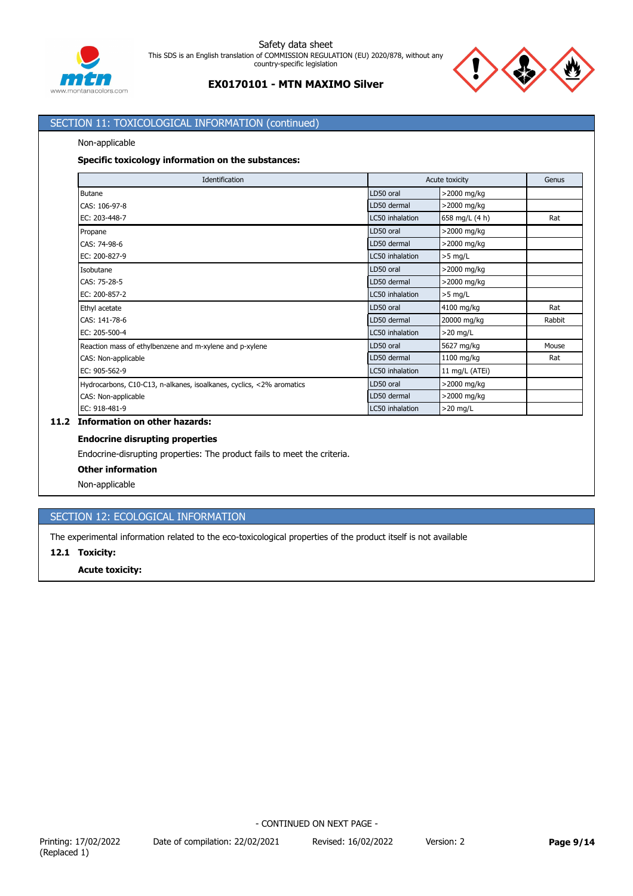



# SECTION 11: TOXICOLOGICAL INFORMATION (continued)

#### Non-applicable

## **Specific toxicology information on the substances:**

| Identification                                                       |                 | Acute toxicity |        |
|----------------------------------------------------------------------|-----------------|----------------|--------|
| <b>Butane</b>                                                        | LD50 oral       | >2000 mg/kg    |        |
| CAS: 106-97-8                                                        | LD50 dermal     | >2000 mg/kg    |        |
| EC: 203-448-7                                                        | LC50 inhalation | 658 mg/L (4 h) | Rat    |
| Propane                                                              | LD50 oral       | >2000 mg/kg    |        |
| CAS: 74-98-6                                                         | LD50 dermal     | >2000 mg/kg    |        |
| EC: 200-827-9                                                        | LC50 inhalation | $>5$ mg/L      |        |
| Isobutane                                                            | LD50 oral       | >2000 mg/kg    |        |
| CAS: 75-28-5                                                         | LD50 dermal     | >2000 mg/kg    |        |
| EC: 200-857-2                                                        | LC50 inhalation | $>5$ mg/L      |        |
| Ethyl acetate                                                        | LD50 oral       | 4100 mg/kg     | Rat    |
| CAS: 141-78-6                                                        | LD50 dermal     | 20000 mg/kg    | Rabbit |
| EC: 205-500-4                                                        | LC50 inhalation | $>20$ mg/L     |        |
| Reaction mass of ethylbenzene and m-xylene and p-xylene              | LD50 oral       | 5627 mg/kg     | Mouse  |
| CAS: Non-applicable                                                  | LD50 dermal     | 1100 mg/kg     | Rat    |
| EC: 905-562-9                                                        | LC50 inhalation | 11 mg/L (ATEi) |        |
| Hydrocarbons, C10-C13, n-alkanes, isoalkanes, cyclics, <2% aromatics | LD50 oral       | >2000 mg/kg    |        |
| CAS: Non-applicable                                                  | LD50 dermal     | >2000 mg/kg    |        |
| EC: 918-481-9                                                        | LC50 inhalation | $>20$ mg/L     |        |

## **11.2 Information on other hazards:**

## **Endocrine disrupting properties**

Endocrine-disrupting properties: The product fails to meet the criteria.

#### **Other information**

Non-applicable

# SECTION 12: ECOLOGICAL INFORMATION

The experimental information related to the eco-toxicological properties of the product itself is not available

## **12.1 Toxicity:**

#### **Acute toxicity:**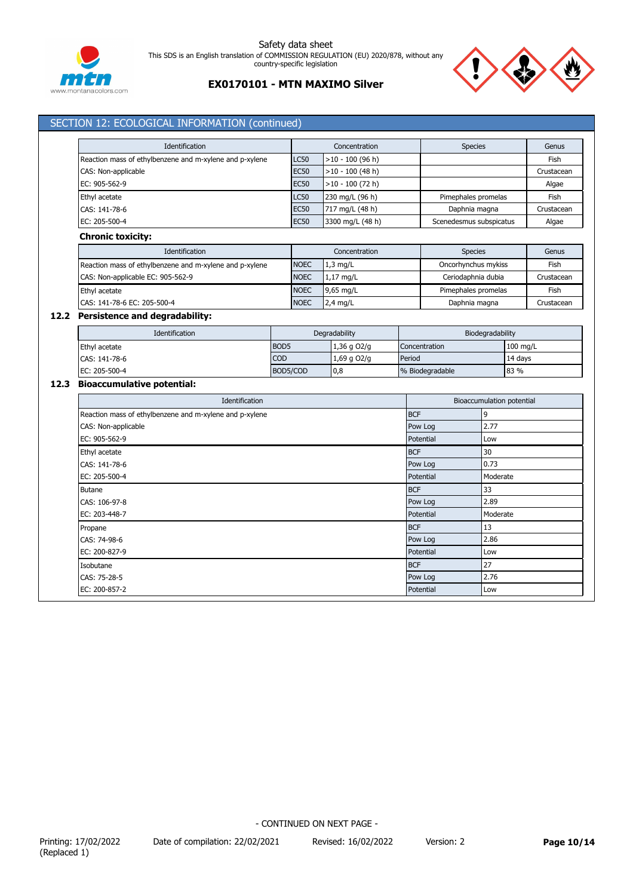



| Identification                                          |                                                                        |                  | Concentration           |                        | <b>Species</b>   |                                                                                 |                           | Genus      |            |  |
|---------------------------------------------------------|------------------------------------------------------------------------|------------------|-------------------------|------------------------|------------------|---------------------------------------------------------------------------------|---------------------------|------------|------------|--|
|                                                         | Reaction mass of ethylbenzene and m-xylene and p-xylene<br><b>LC50</b> |                  |                         | $>10 - 100$ (96 h)     |                  |                                                                                 |                           |            | Fish       |  |
| CAS: Non-applicable                                     | <b>EC50</b>                                                            |                  | $>10 - 100$ (48 h)      |                        |                  |                                                                                 |                           | Crustacean |            |  |
| EC: 905-562-9                                           |                                                                        | <b>EC50</b>      |                         | $>10 - 100$ (72 h)     |                  |                                                                                 |                           |            | Algae      |  |
| Ethyl acetate                                           | LC50<br><b>EC50</b><br>CAS: 141-78-6                                   |                  |                         | 230 mg/L (96 h)        |                  | Pimephales promelas                                                             |                           |            | Fish       |  |
|                                                         |                                                                        |                  |                         | 717 mg/L (48 h)        |                  | Daphnia magna                                                                   |                           |            | Crustacean |  |
| EC: 205-500-4                                           | <b>EC50</b><br>3300 mg/L (48 h)                                        |                  | Scenedesmus subspicatus |                        |                  | Algae                                                                           |                           |            |            |  |
| <b>Chronic toxicity:</b>                                |                                                                        |                  |                         |                        |                  |                                                                                 |                           |            |            |  |
| Identification                                          |                                                                        |                  |                         | Concentration          |                  | <b>Species</b>                                                                  |                           |            | Genus      |  |
| Reaction mass of ethylbenzene and m-xylene and p-xylene |                                                                        | <b>NOEC</b>      |                         | $1,3$ mg/L             |                  | Oncorhynchus mykiss                                                             |                           |            | Fish       |  |
| CAS: Non-applicable EC: 905-562-9                       |                                                                        | <b>NOEC</b>      |                         | 1,17 mg/L              |                  | Ceriodaphnia dubia                                                              |                           |            | Crustacean |  |
| Ethyl acetate                                           |                                                                        | <b>NOEC</b>      |                         | 9,65 mg/L              |                  | Pimephales promelas                                                             |                           |            | Fish       |  |
| CAS: 141-78-6 EC: 205-500-4                             |                                                                        | <b>NOEC</b>      |                         | $2,4$ mg/L             |                  | Daphnia magna                                                                   |                           |            | Crustacean |  |
| 12.2 Persistence and degradability:                     |                                                                        |                  |                         |                        |                  |                                                                                 |                           |            |            |  |
| Identification                                          |                                                                        |                  |                         | Degradability          |                  | Biodegradability                                                                |                           |            |            |  |
| Ethyl acetate                                           |                                                                        | BOD <sub>5</sub> | 1,36 g O2/g             |                        |                  | Concentration                                                                   |                           |            | 100 mg/L   |  |
| CAS: 141-78-6                                           |                                                                        | COD              | 1,69 g O2/g<br>Period   |                        |                  |                                                                                 | 14 days                   |            |            |  |
| EC: 205-500-4                                           |                                                                        | BOD5/COD         |                         | 0,8<br>% Biodegradable |                  |                                                                                 | 83 %                      |            |            |  |
| 12.3 Bioaccumulative potential:                         |                                                                        |                  |                         |                        |                  |                                                                                 |                           |            |            |  |
|                                                         | Identification                                                         |                  |                         |                        |                  |                                                                                 | Bioaccumulation potential |            |            |  |
| Reaction mass of ethylbenzene and m-xylene and p-xylene |                                                                        |                  |                         |                        | <b>BCF</b>       |                                                                                 | 9                         |            |            |  |
| CAS: Non-applicable                                     |                                                                        |                  | Pow Log<br>Potential    |                        | 2.77             |                                                                                 |                           |            |            |  |
| EC: 905-562-9                                           |                                                                        |                  |                         |                        | Low              |                                                                                 |                           |            |            |  |
| Ethyl acetate                                           |                                                                        |                  |                         |                        | <b>BCF</b>       |                                                                                 | 30                        |            |            |  |
| CAS: 141-78-6                                           |                                                                        |                  |                         |                        |                  | 0.73<br>Pow Log<br>Moderate<br>Potential                                        |                           |            |            |  |
| EC: 205-500-4                                           |                                                                        |                  |                         |                        |                  |                                                                                 |                           |            |            |  |
| <b>Butane</b>                                           |                                                                        |                  |                         |                        | <b>BCF</b>       |                                                                                 | 33                        |            |            |  |
| CAS: 106-97-8                                           |                                                                        |                  |                         |                        |                  | 2.89<br>Pow Log<br>Potential<br>Moderate<br><b>BCF</b><br>13<br>2.86<br>Pow Log |                           |            |            |  |
| EC: 203-448-7                                           |                                                                        |                  |                         |                        |                  |                                                                                 |                           |            |            |  |
| Propane                                                 |                                                                        |                  |                         |                        |                  |                                                                                 |                           |            |            |  |
| CAS: 74-98-6                                            |                                                                        |                  |                         |                        |                  |                                                                                 |                           |            |            |  |
| EC: 200-827-9                                           |                                                                        |                  |                         |                        |                  | Potential                                                                       | Low                       |            |            |  |
| Isobutane                                               |                                                                        |                  |                         |                        | <b>BCF</b>       |                                                                                 | 27                        |            |            |  |
| CAS: 75-28-5                                            |                                                                        |                  |                         |                        |                  | Pow Log                                                                         | 2.76                      |            |            |  |
| EC: 200-857-2                                           |                                                                        |                  |                         |                        | Potential<br>Low |                                                                                 |                           |            |            |  |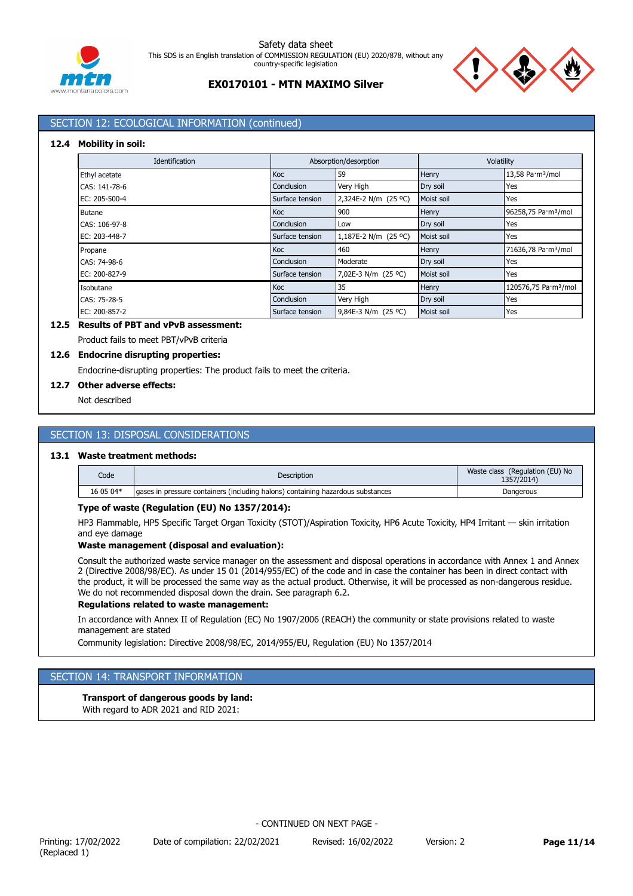



# SECTION 12: ECOLOGICAL INFORMATION (continued)

## **12.4 Mobility in soil:**

| <b>Identification</b> |                 | Absorption/desorption | Volatility   |                                  |  |
|-----------------------|-----------------|-----------------------|--------------|----------------------------------|--|
| Ethyl acetate         | Koc             | 59                    | Henry        | 13,58 Pa·m <sup>3</sup> /mol     |  |
| CAS: 141-78-6         | Conclusion      | Very High             | Dry soil     | Yes                              |  |
| EC: 205-500-4         | Surface tension | 2,324E-2 N/m (25 °C)  | Moist soil   | Yes                              |  |
| <b>Butane</b>         | Koc             | 900                   | <b>Henry</b> | 96258,75 Pa·m <sup>3</sup> /mol  |  |
| CAS: 106-97-8         | Conclusion      | Low                   | Dry soil     | Yes                              |  |
| EC: 203-448-7         | Surface tension | 1,187E-2 N/m (25 °C)  | Moist soil   | Yes                              |  |
| Propane               | Koc             | 460                   | Henry        | 71636,78 Pa·m <sup>3</sup> /mol  |  |
| CAS: 74-98-6          | Conclusion      | Moderate              | Dry soil     | Yes                              |  |
| EC: 200-827-9         | Surface tension | 7,02E-3 N/m (25 °C)   | Moist soil   | Yes                              |  |
| Isobutane             | Koc             | 35                    | Henry        | 120576,75 Pa·m <sup>3</sup> /mol |  |
| CAS: 75-28-5          | Conclusion      | Very High             | Dry soil     | Yes                              |  |
| EC: 200-857-2         | Surface tension | 9,84E-3 N/m (25 °C)   | Moist soil   | Yes                              |  |

### **12.5 Results of PBT and vPvB assessment:**

Product fails to meet PBT/vPvB criteria

#### **12.6 Endocrine disrupting properties:**

Endocrine-disrupting properties: The product fails to meet the criteria.

#### **12.7 Other adverse effects:**

Not described

## SECTION 13: DISPOSAL CONSIDERATIONS

#### **13.1 Waste treatment methods:**

| Code      | <b>Description</b>                                                              | Waste class (Regulation (EU) No<br>1357/2014 |
|-----------|---------------------------------------------------------------------------------|----------------------------------------------|
| 16 05 04* | gases in pressure containers (including halons) containing hazardous substances | Dangerous                                    |

#### **Type of waste (Regulation (EU) No 1357/2014):**

HP3 Flammable, HP5 Specific Target Organ Toxicity (STOT)/Aspiration Toxicity, HP6 Acute Toxicity, HP4 Irritant — skin irritation and eye damage

#### **Waste management (disposal and evaluation):**

Consult the authorized waste service manager on the assessment and disposal operations in accordance with Annex 1 and Annex 2 (Directive 2008/98/EC). As under 15 01 (2014/955/EC) of the code and in case the container has been in direct contact with the product, it will be processed the same way as the actual product. Otherwise, it will be processed as non-dangerous residue. We do not recommended disposal down the drain. See paragraph 6.2.

#### **Regulations related to waste management:**

In accordance with Annex II of Regulation (EC) No 1907/2006 (REACH) the community or state provisions related to waste management are stated

Community legislation: Directive 2008/98/EC, 2014/955/EU, Regulation (EU) No 1357/2014

## SECTION 14: TRANSPORT INFORMATION

#### **Transport of dangerous goods by land:**

With regard to ADR 2021 and RID 2021:

Printing: 17/02/2022 Date of compilation: 22/02/2021 Revised: 16/02/2022 Version: 2 **Page 11/14**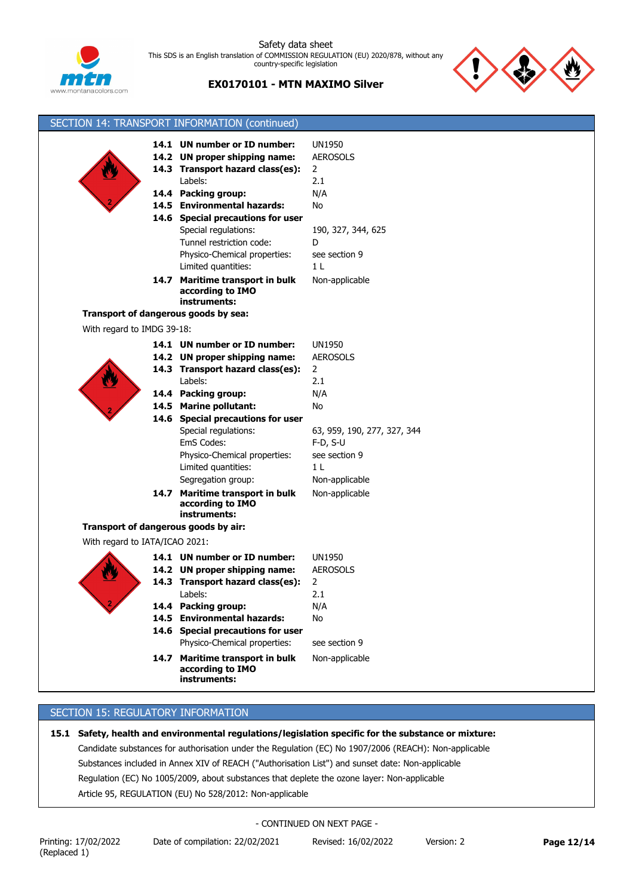



# **EX0170101 - MTN MAXIMO Silver**

| SECTION 14: TRANSPORT INFORMATION (continued) |                                   |                                  |
|-----------------------------------------------|-----------------------------------|----------------------------------|
|                                               | 14.1 UN number or ID number:      |                                  |
|                                               | 14.2 UN proper shipping name:     | <b>UN1950</b><br><b>AEROSOLS</b> |
|                                               | 14.3 Transport hazard class(es):  |                                  |
|                                               | Labels:                           | $\overline{2}$                   |
|                                               |                                   | 2.1                              |
|                                               | 14.4 Packing group:               | N/A                              |
|                                               | 14.5 Environmental hazards:       | No                               |
|                                               | 14.6 Special precautions for user |                                  |
|                                               | Special regulations:              | 190, 327, 344, 625               |
|                                               | Tunnel restriction code:          | D                                |
|                                               | Physico-Chemical properties:      | see section 9                    |
|                                               | Limited quantities:               | 1 <sub>L</sub>                   |
|                                               | 14.7 Maritime transport in bulk   | Non-applicable                   |
|                                               | according to IMO<br>instruments:  |                                  |
| Transport of dangerous goods by sea:          |                                   |                                  |
|                                               |                                   |                                  |
| With regard to IMDG 39-18:                    |                                   |                                  |
|                                               | 14.1 UN number or ID number:      | <b>UN1950</b>                    |
|                                               | 14.2 UN proper shipping name:     | <b>AEROSOLS</b>                  |
|                                               | 14.3 Transport hazard class(es):  | 2                                |
|                                               | Labels:                           | 2.1                              |
|                                               | 14.4 Packing group:               | N/A                              |
|                                               | 14.5 Marine pollutant:            | No                               |
|                                               | 14.6 Special precautions for user |                                  |
|                                               | Special regulations:              | 63, 959, 190, 277, 327, 344      |
|                                               | EmS Codes:                        | $F-D, S-U$                       |
|                                               | Physico-Chemical properties:      | see section 9                    |
|                                               | Limited quantities:               | 1 <sub>L</sub>                   |
|                                               | Segregation group:                | Non-applicable                   |
|                                               | 14.7 Maritime transport in bulk   | Non-applicable                   |
|                                               | according to IMO                  |                                  |
|                                               | instruments:                      |                                  |
| Transport of dangerous goods by air:          |                                   |                                  |
| With regard to IATA/ICAO 2021:                |                                   |                                  |
|                                               | 14.1 UN number or ID number:      | <b>UN1950</b>                    |
|                                               | 14.2 UN proper shipping name:     | <b>AEROSOLS</b>                  |
|                                               | 14.3 Transport hazard class(es):  | 2                                |
|                                               | Labels:                           | 2.1                              |
|                                               | 14.4 Packing group:               | N/A                              |
| 14.5                                          | <b>Environmental hazards:</b>     | No                               |
|                                               | 14.6 Special precautions for user |                                  |
|                                               | Physico-Chemical properties:      | see section 9                    |
| 14.7                                          | Maritime transport in bulk        | Non-applicable                   |
|                                               | according to IMO                  |                                  |
|                                               | instruments:                      |                                  |

## SECTION 15: REGULATORY INFORMATION

**15.1 Safety, health and environmental regulations/legislation specific for the substance or mixture:** Candidate substances for authorisation under the Regulation (EC) No 1907/2006 (REACH): Non-applicable Substances included in Annex XIV of REACH ("Authorisation List") and sunset date: Non-applicable Regulation (EC) No 1005/2009, about substances that deplete the ozone layer: Non-applicable Article 95, REGULATION (EU) No 528/2012: Non-applicable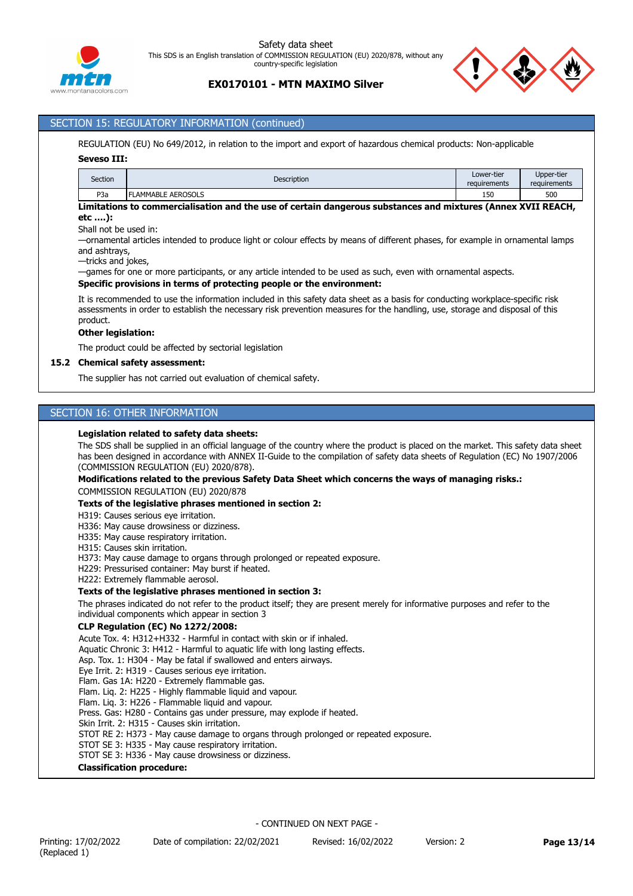



# SECTION 15: REGULATORY INFORMATION (continued)

REGULATION (EU) No 649/2012, in relation to the import and export of hazardous chemical products: Non-applicable

#### **Seveso III:**

| Section                                                                                                       | <b>Description</b>        | Lower-tier<br>requirements | Upper-tier<br>requirements |  |  |  |  |
|---------------------------------------------------------------------------------------------------------------|---------------------------|----------------------------|----------------------------|--|--|--|--|
| P <sub>3</sub> a                                                                                              | <b>FLAMMABLE AEROSOLS</b> | 150                        | 500                        |  |  |  |  |
| i initatione to commonsiolisation and the use of contain dangerous culctanese and mintures (Annou VUIT DEACU) |                           |                            |                            |  |  |  |  |

#### **Limitations to commercialisation and the use of certain dangerous substances and mixtures (Annex XVII REACH, etc ….):**

Shall not be used in:

—ornamental articles intended to produce light or colour effects by means of different phases, for example in ornamental lamps and ashtrays,

—tricks and jokes,

—games for one or more participants, or any article intended to be used as such, even with ornamental aspects.

#### **Specific provisions in terms of protecting people or the environment:**

It is recommended to use the information included in this safety data sheet as a basis for conducting workplace-specific risk assessments in order to establish the necessary risk prevention measures for the handling, use, storage and disposal of this product.

#### **Other legislation:**

The product could be affected by sectorial legislation

#### **15.2 Chemical safety assessment:**

The supplier has not carried out evaluation of chemical safety.

## SECTION 16: OTHER INFORMATION

#### **Legislation related to safety data sheets:**

The SDS shall be supplied in an official language of the country where the product is placed on the market. This safety data sheet has been designed in accordance with ANNEX II-Guide to the compilation of safety data sheets of Regulation (EC) No 1907/2006 (COMMISSION REGULATION (EU) 2020/878).

#### **Modifications related to the previous Safety Data Sheet which concerns the ways of managing risks.:**

COMMISSION REGULATION (EU) 2020/878

#### **Texts of the legislative phrases mentioned in section 2:**

#### H319: Causes serious eye irritation.

- H336: May cause drowsiness or dizziness.
- H335: May cause respiratory irritation.
- H315: Causes skin irritation.
- H373: May cause damage to organs through prolonged or repeated exposure.
- H229: Pressurised container: May burst if heated.
- H222: Extremely flammable aerosol.

#### **Texts of the legislative phrases mentioned in section 3:**

The phrases indicated do not refer to the product itself; they are present merely for informative purposes and refer to the individual components which appear in section 3

#### **CLP Regulation (EC) No 1272/2008:**

Acute Tox. 4: H312+H332 - Harmful in contact with skin or if inhaled. Aquatic Chronic 3: H412 - Harmful to aquatic life with long lasting effects. Asp. Tox. 1: H304 - May be fatal if swallowed and enters airways. Eye Irrit. 2: H319 - Causes serious eye irritation. Flam. Gas 1A: H220 - Extremely flammable gas. Flam. Liq. 2: H225 - Highly flammable liquid and vapour. Flam. Liq. 3: H226 - Flammable liquid and vapour. Press. Gas: H280 - Contains gas under pressure, may explode if heated. Skin Irrit. 2: H315 - Causes skin irritation. STOT RE 2: H373 - May cause damage to organs through prolonged or repeated exposure. STOT SE 3: H335 - May cause respiratory irritation. STOT SE 3: H336 - May cause drowsiness or dizziness. **Classification procedure:**